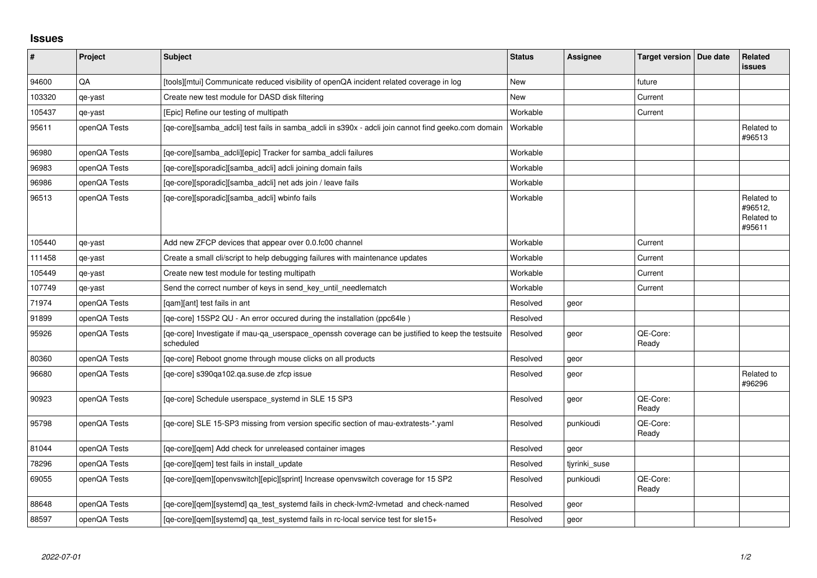## **Issues**

| ∦      | Project      | <b>Subject</b>                                                                                                 | <b>Status</b> | <b>Assignee</b> | Target version   Due date | Related<br><b>issues</b>                      |
|--------|--------------|----------------------------------------------------------------------------------------------------------------|---------------|-----------------|---------------------------|-----------------------------------------------|
| 94600  | QA           | [tools][mtui] Communicate reduced visibility of openQA incident related coverage in log                        | New           |                 | future                    |                                               |
| 103320 | qe-yast      | Create new test module for DASD disk filtering                                                                 | <b>New</b>    |                 | Current                   |                                               |
| 105437 | qe-yast      | [Epic] Refine our testing of multipath                                                                         | Workable      |                 | Current                   |                                               |
| 95611  | openQA Tests | [qe-core][samba_adcli] test fails in samba_adcli in s390x - adcli join cannot find geeko.com domain            | Workable      |                 |                           | Related to<br>#96513                          |
| 96980  | openQA Tests | [qe-core][samba_adcli][epic] Tracker for samba_adcli failures                                                  | Workable      |                 |                           |                                               |
| 96983  | openQA Tests | [qe-core][sporadic][samba_adcli] adcli joining domain fails                                                    | Workable      |                 |                           |                                               |
| 96986  | openQA Tests | [qe-core][sporadic][samba_adcli] net ads join / leave fails                                                    | Workable      |                 |                           |                                               |
| 96513  | openQA Tests | [qe-core][sporadic][samba_adcli] wbinfo fails                                                                  | Workable      |                 |                           | Related to<br>#96512,<br>Related to<br>#95611 |
| 105440 | qe-yast      | Add new ZFCP devices that appear over 0.0.fc00 channel                                                         | Workable      |                 | Current                   |                                               |
| 111458 | qe-yast      | Create a small cli/script to help debugging failures with maintenance updates                                  | Workable      |                 | Current                   |                                               |
| 105449 | qe-yast      | Create new test module for testing multipath                                                                   | Workable      |                 | Current                   |                                               |
| 107749 | qe-yast      | Send the correct number of keys in send_key_until_needlematch                                                  | Workable      |                 | Current                   |                                               |
| 71974  | openQA Tests | [gam][ant] test fails in ant                                                                                   | Resolved      | geor            |                           |                                               |
| 91899  | openQA Tests | [qe-core] 15SP2 QU - An error occured during the installation (ppc64le)                                        | Resolved      |                 |                           |                                               |
| 95926  | openQA Tests | [qe-core] Investigate if mau-qa_userspace_openssh coverage can be justified to keep the testsuite<br>scheduled | Resolved      | geor            | QE-Core:<br>Ready         |                                               |
| 80360  | openQA Tests | [ge-core] Reboot gnome through mouse clicks on all products                                                    | Resolved      | geor            |                           |                                               |
| 96680  | openQA Tests | [qe-core] s390qa102.qa.suse.de zfcp issue                                                                      | Resolved      | geor            |                           | Related to<br>#96296                          |
| 90923  | openQA Tests | [qe-core] Schedule userspace_systemd in SLE 15 SP3                                                             | Resolved      | geor            | QE-Core:<br>Ready         |                                               |
| 95798  | openQA Tests | [qe-core] SLE 15-SP3 missing from version specific section of mau-extratests-*.yaml                            | Resolved      | punkioudi       | QE-Core:<br>Ready         |                                               |
| 81044  | openQA Tests | [qe-core][qem] Add check for unreleased container images                                                       | Resolved      | geor            |                           |                                               |
| 78296  | openQA Tests | [qe-core][qem] test fails in install_update                                                                    | Resolved      | tjyrinki_suse   |                           |                                               |
| 69055  | openQA Tests | [qe-core][qem][openvswitch][epic][sprint] Increase openvswitch coverage for 15 SP2                             | Resolved      | punkioudi       | QE-Core:<br>Ready         |                                               |
| 88648  | openQA Tests | [qe-core][qem][systemd] qa_test_systemd fails in check-lvm2-lvmetad and check-named                            | Resolved      | geor            |                           |                                               |
| 88597  | openQA Tests | [ge-core][gem][systemd] ga test systemd fails in rc-local service test for sle15+                              | Resolved      | geor            |                           |                                               |